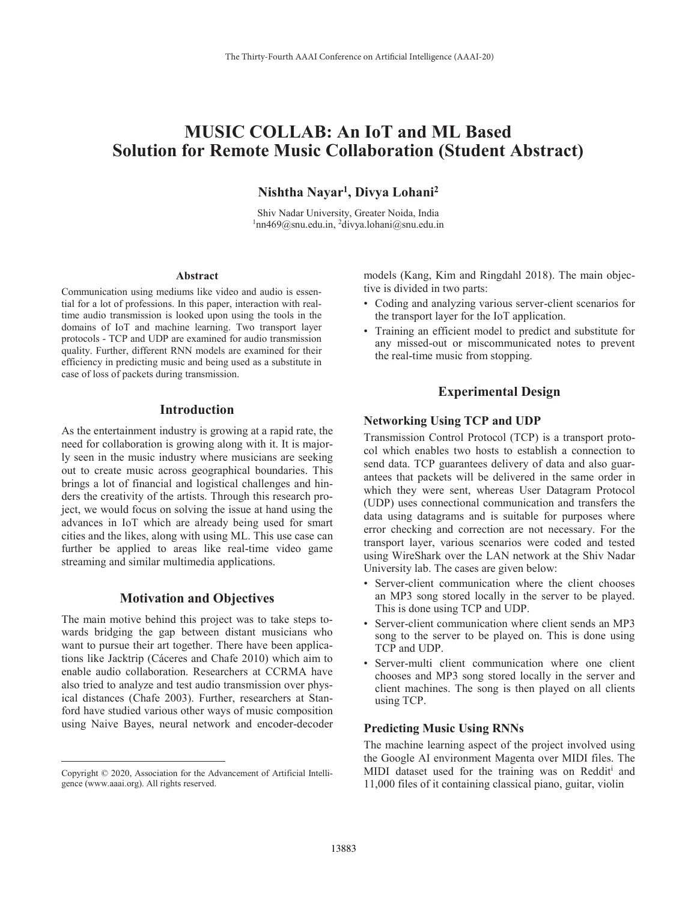# **MUSIC COLLAB: An IoT and ML Based Solution for Remote Music Collaboration (Student Abstract)**

**Nishtha Nayar1, Divya Lohani2**

Shiv Nadar University, Greater Noida, India  $\frac{1}{1}$ nn469@snu.edu.in,  $\frac{2}{1}$ divya.lohani@snu.edu.in

#### **Abstract**

Communication using mediums like video and audio is essential for a lot of professions. In this paper, interaction with realtime audio transmission is looked upon using the tools in the domains of IoT and machine learning. Two transport layer protocols - TCP and UDP are examined for audio transmission quality. Further, different RNN models are examined for their efficiency in predicting music and being used as a substitute in case of loss of packets during transmission.

#### **Introduction**

As the entertainment industry is growing at a rapid rate, the need for collaboration is growing along with it. It is majorly seen in the music industry where musicians are seeking out to create music across geographical boundaries. This brings a lot of financial and logistical challenges and hinders the creativity of the artists. Through this research project, we would focus on solving the issue at hand using the advances in IoT which are already being used for smart cities and the likes, along with using ML. This use case can further be applied to areas like real-time video game streaming and similar multimedia applications.

#### **Motivation and Objectives**

The main motive behind this project was to take steps towards bridging the gap between distant musicians who want to pursue their art together. There have been applications like Jacktrip (Cáceres and Chafe 2010) which aim to enable audio collaboration. Researchers at CCRMA have also tried to analyze and test audio transmission over physical distances (Chafe 2003). Further, researchers at Stanford have studied various other ways of music composition using Naive Bayes, neural network and encoder-decoder

 $\overline{a}$ 

models (Kang, Kim and Ringdahl 2018). The main objective is divided in two parts:

- Coding and analyzing various server-client scenarios for the transport layer for the IoT application.
- Training an efficient model to predict and substitute for any missed-out or miscommunicated notes to prevent the real-time music from stopping.

### **Experimental Design**

#### **Networking Using TCP and UDP**

Transmission Control Protocol (TCP) is a transport protocol which enables two hosts to establish a connection to send data. TCP guarantees delivery of data and also guarantees that packets will be delivered in the same order in which they were sent, whereas User Datagram Protocol (UDP) uses connectional communication and transfers the data using datagrams and is suitable for purposes where error checking and correction are not necessary. For the transport layer, various scenarios were coded and tested using WireShark over the LAN network at the Shiv Nadar University lab. The cases are given below:

- Server-client communication where the client chooses an MP3 song stored locally in the server to be played. This is done using TCP and UDP.
- Server-client communication where client sends an MP3 song to the server to be played on. This is done using TCP and UDP.
- Server-multi client communication where one client chooses and MP3 song stored locally in the server and client machines. The song is then played on all clients using TCP.

### **Predicting Music Using RNNs**

The machine learning aspect of the project involved using the Google AI environment Magenta over MIDI files. The MIDI dataset used for the training was on Reddit<sup>i</sup> and 11,000 files of it containing classical piano, guitar, violin

Copyright © 2020, Association for the Advancement of Artificial Intelligence (www.aaai.org). All rights reserved.